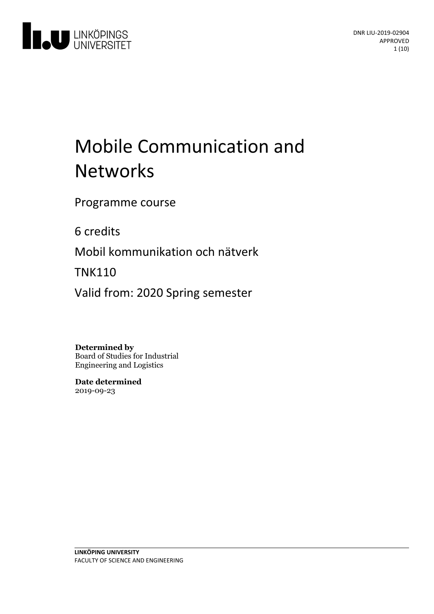

# Mobile Communication and **Networks**

Programme course

6 credits

Mobil kommunikation och nätverk

TNK110

Valid from: 2020 Spring semester

**Determined by**

Board of Studies for Industrial Engineering and Logistics

**Date determined** 2019-09-23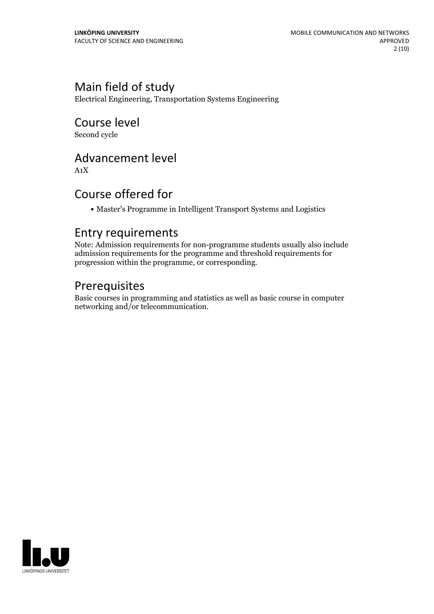## Main field of study

Electrical Engineering, Transportation Systems Engineering

# Course level

Second cycle

### Advancement level

A1X

### Course offered for

Master's Programme in Intelligent Transport Systems and Logistics

### Entry requirements

Note: Admission requirements for non-programme students usually also include admission requirements for the programme and threshold requirements for progression within the programme, or corresponding.

# Prerequisites

Basic courses in programming and statistics as well as basic course in computer networking and/or telecommunication.

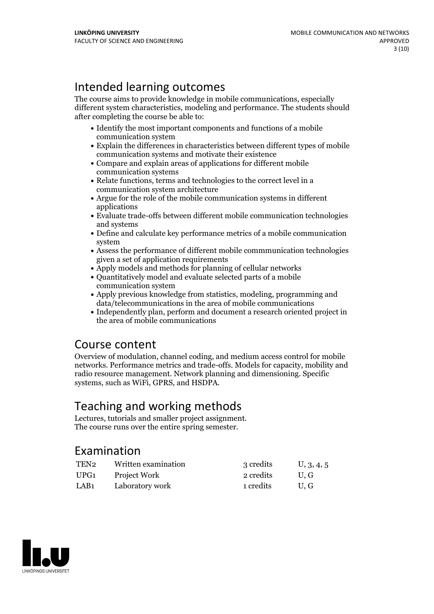# Intended learning outcomes

The course aims to provide knowledge in mobile communications, especially different system characteristics, modeling and performance. The students should after completing the course be able to:

- Identify the most important components and functions of a mobile communication system
- Explain the differences in characteristics between different types of mobile communication systems and motivate their existence
- Compare and explain areas of applications for different mobile communication systems
- Relate functions, terms and technologies to the correct level in a communication system architecture
- $\bullet$  Argue for the role of the mobile communication systems in different applications
- Evaluate trade-offs between different mobile communication technologies and systems
- Define and calculate key performance metrics of a mobile communication system
- Assess the performance of different mobile commmunication technologies given a set of application requirements
- Apply models and methods for planning of cellular networks
- Quantitatively model and evaluate selected parts of a mobile communication system
- Apply previous knowledge from statistics, modeling, programming and data/telecommunications in the area of mobile communications
- Independently plan, perform and document a research oriented project in the area of mobile communications

### Course content

Overview of modulation, channel coding, and medium access control for mobile networks. Performance metrics and trade-offs. Models for capacity, mobility and radio resource management. Network planning and dimensioning. Specific systems, such as WiFi, GPRS, and HSDPA.

# Teaching and working methods

Lectures, tutorials and smaller project assignment. The course runs over the entire spring semester.

### Examination

| TEN2 | Written examination | 3 credits | U, 3, 4, 5 |
|------|---------------------|-----------|------------|
| UPG1 | Project Work        | 2 credits | U.G        |
| LAB1 | Laboratory work     | 1 credits | U.G        |

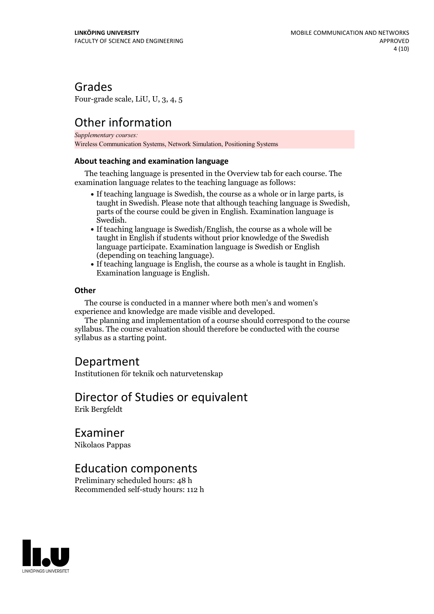### Grades

Four-grade scale, LiU, U, 3, 4, 5

# Other information

*Supplementary courses:* Wireless Communication Systems, Network Simulation, Positioning Systems

#### **About teaching and examination language**

The teaching language is presented in the Overview tab for each course. The examination language relates to the teaching language as follows:

- If teaching language is Swedish, the course as a whole or in large parts, is taught in Swedish. Please note that although teaching language is Swedish, parts of the course could be given in English. Examination language is
- Swedish.<br>• If teaching language is Swedish/English, the course as a whole will be taught in English if students without prior knowledge of the Swedish language participate. Examination language is Swedish or English
- (depending on teaching language).<br>• If teaching language is English, the course as a whole is taught in English.<br>Examination language is English.

#### **Other**

The course is conducted in a manner where both men's and women's

experience and knowledge are made visible and developed. The planning and implementation of <sup>a</sup> course should correspond to the course syllabus. The course evaluation should therefore be conducted with the course syllabus as a starting point.

### Department

Institutionen för teknik och naturvetenskap

#### Director of Studies or equivalent Erik Bergfeldt

Examiner

Nikolaos Pappas

### Education components

Preliminary scheduled hours: 48 h Recommended self-study hours: 112 h

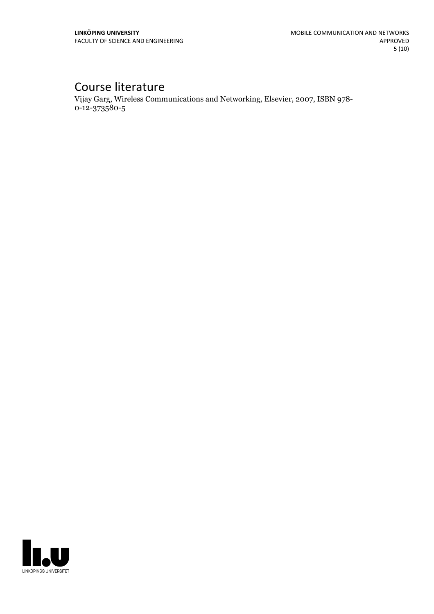# Course literature

Vijay Garg, Wireless Communications and Networking, Elsevier, 2007, ISBN 978- 0-12-373580-5

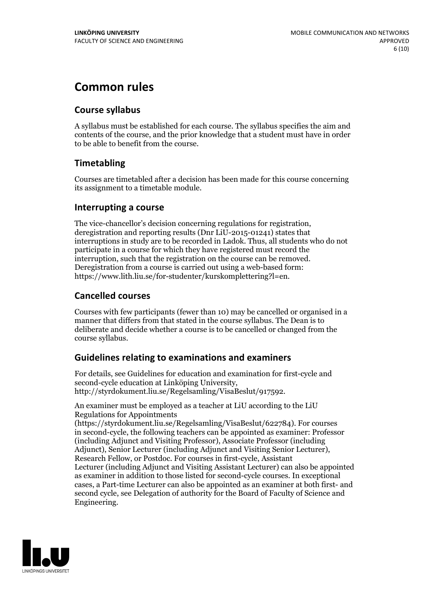# **Common rules**

#### **Course syllabus**

A syllabus must be established for each course. The syllabus specifies the aim and contents of the course, and the prior knowledge that a student must have in order to be able to benefit from the course.

### **Timetabling**

Courses are timetabled after a decision has been made for this course concerning its assignment to a timetable module.

#### **Interrupting a course**

The vice-chancellor's decision concerning regulations for registration, deregistration and reporting results (Dnr LiU-2015-01241) states that interruptions in study are to be recorded in Ladok. Thus, all students who do not participate in a course for which they have registered must record the interruption, such that the registration on the course can be removed. Deregistration from <sup>a</sup> course is carried outusing <sup>a</sup> web-based form: https://www.lith.liu.se/for-studenter/kurskomplettering?l=en.

### **Cancelled courses**

Courses with few participants (fewer than 10) may be cancelled or organised in a manner that differs from that stated in the course syllabus. The Dean is to deliberate and decide whether a course is to be cancelled or changed from the course syllabus.

### **Guidelines relatingto examinations and examiners**

For details, see Guidelines for education and examination for first-cycle and second-cycle education at Linköping University, http://styrdokument.liu.se/Regelsamling/VisaBeslut/917592.

An examiner must be employed as a teacher at LiU according to the LiU Regulations for Appointments

(https://styrdokument.liu.se/Regelsamling/VisaBeslut/622784). For courses in second-cycle, the following teachers can be appointed as examiner: Professor (including Adjunct and Visiting Professor), Associate Professor (including Adjunct), Senior Lecturer (including Adjunct and Visiting Senior Lecturer), Research Fellow, or Postdoc. For courses in first-cycle, Assistant Lecturer (including Adjunct and Visiting Assistant Lecturer) can also be appointed as examiner in addition to those listed for second-cycle courses. In exceptional cases, a Part-time Lecturer can also be appointed as an examiner at both first- and second cycle, see Delegation of authority for the Board of Faculty of Science and Engineering.

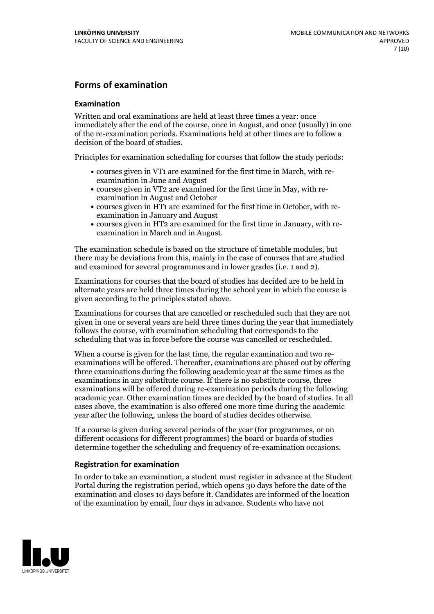#### **Forms of examination**

#### **Examination**

Written and oral examinations are held at least three times a year: once immediately after the end of the course, once in August, and once (usually) in one of the re-examination periods. Examinations held at other times are to follow a decision of the board of studies.

Principles for examination scheduling for courses that follow the study periods:

- courses given in VT1 are examined for the first time in March, with re-examination in June and August
- courses given in VT2 are examined for the first time in May, with re-examination in August and October
- courses given in HT1 are examined for the first time in October, with re-examination in January and August
- courses given in HT2 are examined for the first time in January, with re-examination in March and in August.

The examination schedule is based on the structure of timetable modules, but there may be deviations from this, mainly in the case of courses that are studied and examined for several programmes and in lower grades (i.e. 1 and 2).

Examinations for courses that the board of studies has decided are to be held in alternate years are held three times during the school year in which the course is given according to the principles stated above.

Examinations for courses that are cancelled orrescheduled such that they are not given in one or several years are held three times during the year that immediately follows the course, with examination scheduling that corresponds to the scheduling that was in force before the course was cancelled or rescheduled.

When a course is given for the last time, the regular examination and two re-<br>examinations will be offered. Thereafter, examinations are phased out by offering three examinations during the following academic year at the same times as the examinations in any substitute course. If there is no substitute course, three examinations will be offered during re-examination periods during the following academic year. Other examination times are decided by the board of studies. In all cases above, the examination is also offered one more time during the academic year after the following, unless the board of studies decides otherwise.

If a course is given during several periods of the year (for programmes, or on different occasions for different programmes) the board or boards of studies determine together the scheduling and frequency of re-examination occasions.

#### **Registration for examination**

In order to take an examination, a student must register in advance at the Student Portal during the registration period, which opens 30 days before the date of the examination and closes 10 days before it. Candidates are informed of the location of the examination by email, four days in advance. Students who have not

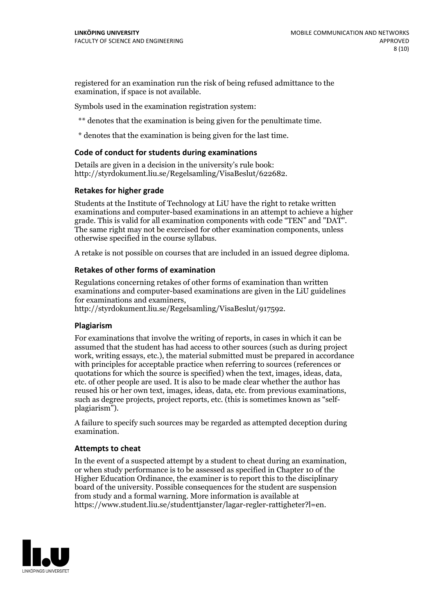registered for an examination run the risk of being refused admittance to the examination, if space is not available.

Symbols used in the examination registration system:

\*\* denotes that the examination is being given for the penultimate time.

\* denotes that the examination is being given for the last time.

#### **Code of conduct for students during examinations**

Details are given in a decision in the university's rule book: http://styrdokument.liu.se/Regelsamling/VisaBeslut/622682.

#### **Retakes for higher grade**

Students at the Institute of Technology at LiU have the right to retake written examinations and computer-based examinations in an attempt to achieve a higher grade. This is valid for all examination components with code "TEN" and "DAT". The same right may not be exercised for other examination components, unless otherwise specified in the course syllabus.

A retake is not possible on courses that are included in an issued degree diploma.

#### **Retakes of other forms of examination**

Regulations concerning retakes of other forms of examination than written examinations and computer-based examinations are given in the LiU guidelines

http://styrdokument.liu.se/Regelsamling/VisaBeslut/917592.

#### **Plagiarism**

For examinations that involve the writing of reports, in cases in which it can be assumed that the student has had access to other sources (such as during project work, writing essays, etc.), the material submitted must be prepared in accordance with principles for acceptable practice when referring to sources (references or quotations for which the source is specified) when the text, images, ideas, data,  $\vec{e}$  etc. of other people are used. It is also to be made clear whether the author has reused his or her own text, images, ideas, data, etc. from previous examinations, such as degree projects, project reports, etc. (this is sometimes known as "self- plagiarism").

A failure to specify such sources may be regarded as attempted deception during examination.

#### **Attempts to cheat**

In the event of <sup>a</sup> suspected attempt by <sup>a</sup> student to cheat during an examination, or when study performance is to be assessed as specified in Chapter <sup>10</sup> of the Higher Education Ordinance, the examiner is to report this to the disciplinary board of the university. Possible consequences for the student are suspension from study and a formal warning. More information is available at https://www.student.liu.se/studenttjanster/lagar-regler-rattigheter?l=en.

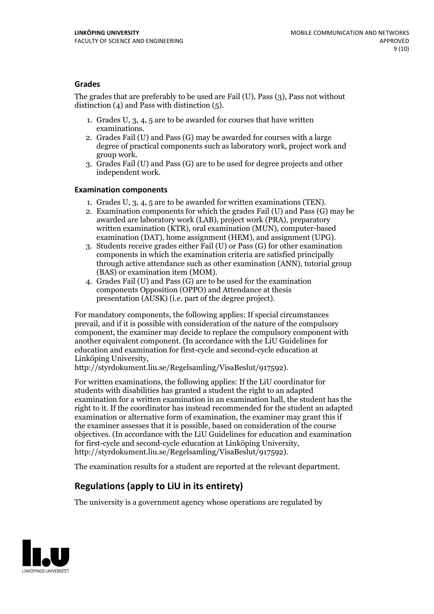#### **Grades**

The grades that are preferably to be used are Fail (U), Pass (3), Pass not without distinction  $(4)$  and Pass with distinction  $(5)$ .

- 1. Grades U, 3, 4, 5 are to be awarded for courses that have written
- examinations. 2. Grades Fail (U) and Pass (G) may be awarded for courses with <sup>a</sup> large degree of practical components such as laboratory work, project work and group work. 3. Grades Fail (U) and Pass (G) are to be used for degree projects and other
- independent work.

#### **Examination components**

- 
- 1. Grades U, 3, 4, <sup>5</sup> are to be awarded for written examinations (TEN). 2. Examination components for which the grades Fail (U) and Pass (G) may be awarded are laboratory work (LAB), project work (PRA), preparatory written examination (KTR), oral examination (MUN), computer-based
- examination (DAT), home assignment (HEM), and assignment (UPG). 3. Students receive grades either Fail (U) or Pass (G) for other examination components in which the examination criteria are satisfied principally through active attendance such as other examination (ANN), tutorial group (BAS) or examination item (MOM). 4. Grades Fail (U) and Pass (G) are to be used for the examination
- components Opposition (OPPO) and Attendance at thesis presentation (AUSK) (i.e. part of the degree project).

For mandatory components, the following applies: If special circumstances prevail, and if it is possible with consideration of the nature of the compulsory component, the examiner may decide to replace the compulsory component with another equivalent component. (In accordance with the LiU Guidelines for education and examination for first-cycle and second-cycle education at Linköping University, http://styrdokument.liu.se/Regelsamling/VisaBeslut/917592).

For written examinations, the following applies: If the LiU coordinator for students with disabilities has granted a student the right to an adapted examination for a written examination in an examination hall, the student has the right to it. If the coordinator has instead recommended for the student an adapted examination or alternative form of examination, the examiner may grant this if the examiner assesses that it is possible, based on consideration of the course objectives. (In accordance with the LiU Guidelines for education and examination for first-cycle and second-cycle education at Linköping University, http://styrdokument.liu.se/Regelsamling/VisaBeslut/917592).

The examination results for a student are reported at the relevant department.

### **Regulations (applyto LiU in its entirety)**

The university is a government agency whose operations are regulated by